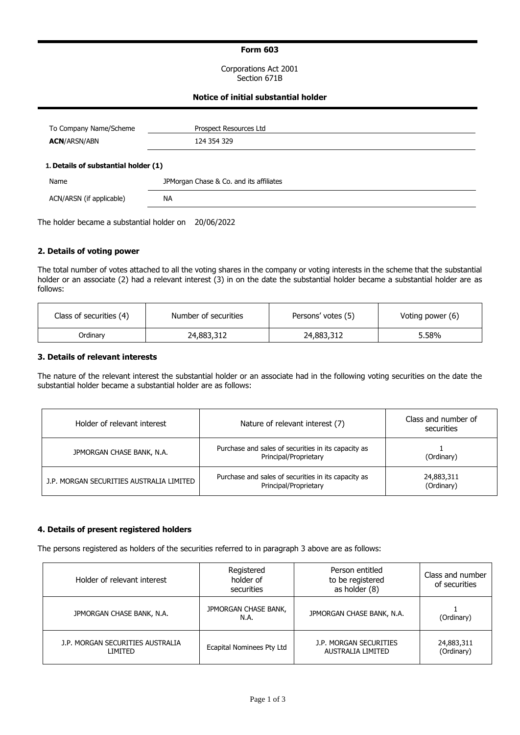## **Form 603**

Corporations Act 2001 Section 671B

## **Notice of initial substantial holder**

| To Company Name/Scheme<br><b>ACN/ARSN/ABN</b> | Prospect Resources Ltd<br>124 354 329   |
|-----------------------------------------------|-----------------------------------------|
| 1. Details of substantial holder (1)          |                                         |
| Name                                          | JPMorgan Chase & Co. and its affiliates |
| ACN/ARSN (if applicable)                      | <b>NA</b>                               |

The holder became a substantial holder on 20/06/2022

## **2. Details of voting power**

The total number of votes attached to all the voting shares in the company or voting interests in the scheme that the substantial holder or an associate (2) had a relevant interest (3) in on the date the substantial holder became a substantial holder are as follows:

| Class of securities (4) | Number of securities | Persons' votes (5) | Voting power (6) |
|-------------------------|----------------------|--------------------|------------------|
| Ordinarv                | 24,883,312           | 24,883,312         | 5.58%            |

### **3. Details of relevant interests**

The nature of the relevant interest the substantial holder or an associate had in the following voting securities on the date the substantial holder became a substantial holder are as follows:

| Holder of relevant interest              | Nature of relevant interest (7)                                              | Class and number of<br>securities |  |  |
|------------------------------------------|------------------------------------------------------------------------------|-----------------------------------|--|--|
| JPMORGAN CHASE BANK, N.A.                | Purchase and sales of securities in its capacity as<br>Principal/Proprietary | (Ordinary)                        |  |  |
| J.P. MORGAN SECURITIES AUSTRALIA LIMITED | Purchase and sales of securities in its capacity as<br>Principal/Proprietary | 24,883,311<br>(Ordinary)          |  |  |

### **4. Details of present registered holders**

The persons registered as holders of the securities referred to in paragraph 3 above are as follows:

| Holder of relevant interest                 | Registered<br>holder of<br>securities | Person entitled<br>to be registered<br>as holder (8) | Class and number<br>of securities |
|---------------------------------------------|---------------------------------------|------------------------------------------------------|-----------------------------------|
| JPMORGAN CHASE BANK, N.A.                   | JPMORGAN CHASE BANK,<br>N.A.          | JPMORGAN CHASE BANK, N.A.                            | (Ordinary)                        |
| J.P. MORGAN SECURITIES AUSTRALIA<br>LIMITED | Ecapital Nominees Pty Ltd             | J.P. MORGAN SECURITIES<br>AUSTRALIA LIMITED          | 24,883,311<br>(Ordinary)          |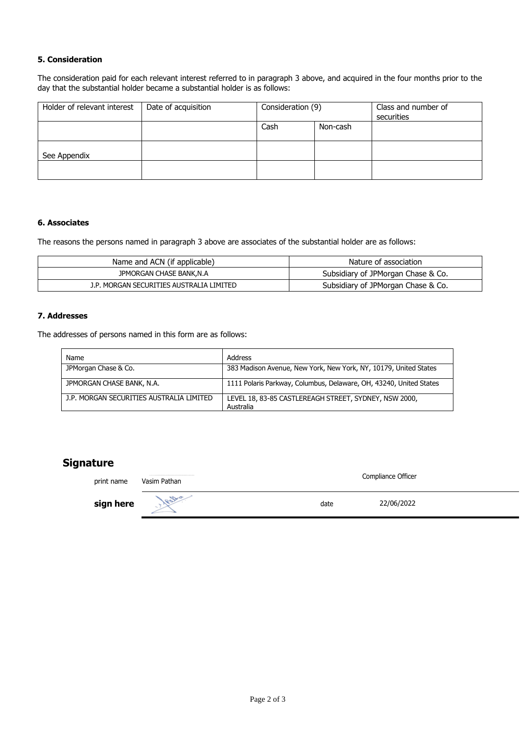## **5. Consideration**

The consideration paid for each relevant interest referred to in paragraph 3 above, and acquired in the four months prior to the day that the substantial holder became a substantial holder is as follows:

| Holder of relevant interest | Date of acquisition | Consideration (9) |          | Class and number of<br>securities |
|-----------------------------|---------------------|-------------------|----------|-----------------------------------|
|                             |                     | Cash              | Non-cash |                                   |
| See Appendix                |                     |                   |          |                                   |
|                             |                     |                   |          |                                   |

## **6. Associates**

The reasons the persons named in paragraph 3 above are associates of the substantial holder are as follows:

| Name and ACN (if applicable)             | Nature of association              |
|------------------------------------------|------------------------------------|
| JPMORGAN CHASE BANK, N.A.                | Subsidiary of JPMorgan Chase & Co. |
| J.P. MORGAN SECURITIES AUSTRALIA LIMITED | Subsidiary of JPMorgan Chase & Co. |

## **7. Addresses**

The addresses of persons named in this form are as follows:

| Name                                     | Address                                                            |
|------------------------------------------|--------------------------------------------------------------------|
| JPMorgan Chase & Co.                     | 383 Madison Avenue, New York, New York, NY, 10179, United States   |
| JPMORGAN CHASE BANK, N.A.                | 1111 Polaris Parkway, Columbus, Delaware, OH, 43240, United States |
| J.P. MORGAN SECURITIES AUSTRALIA LIMITED | LEVEL 18, 83-85 CASTLEREAGH STREET, SYDNEY, NSW 2000,<br>Australia |

# **Signature**

| print name | Vasim Pathan | Compliance Officer |
|------------|--------------|--------------------|
| sign here  | 1820         | 22/06/2022<br>date |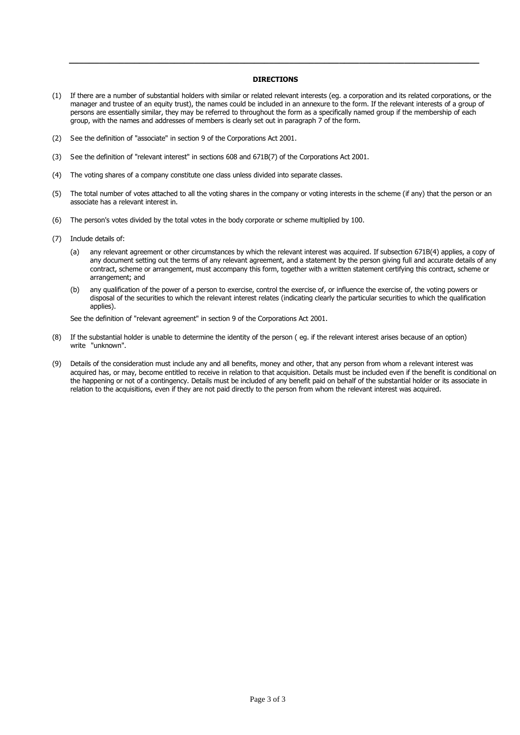#### **DIRECTIONS**

**\_\_\_\_\_\_\_\_\_\_\_\_\_\_\_\_\_\_\_\_\_\_\_\_\_\_\_\_\_\_\_\_\_\_\_\_\_\_\_\_\_\_\_\_\_\_\_\_\_\_\_\_\_\_\_\_\_\_\_\_\_\_\_\_\_\_\_\_\_\_\_\_\_\_\_\_\_\_\_\_\_\_**

- (1) If there are a number of substantial holders with similar or related relevant interests (eg. a corporation and its related corporations, or the manager and trustee of an equity trust), the names could be included in an annexure to the form. If the relevant interests of a group of persons are essentially similar, they may be referred to throughout the form as a specifically named group if the membership of each group, with the names and addresses of members is clearly set out in paragraph 7 of the form.
- (2) See the definition of "associate" in section 9 of the Corporations Act 2001.
- (3) See the definition of "relevant interest" in sections 608 and 671B(7) of the Corporations Act 2001.
- (4) The voting shares of a company constitute one class unless divided into separate classes.
- (5) The total number of votes attached to all the voting shares in the company or voting interests in the scheme (if any) that the person or an associate has a relevant interest in.
- (6) The person's votes divided by the total votes in the body corporate or scheme multiplied by 100.
- (7) Include details of:
	- (a) any relevant agreement or other circumstances by which the relevant interest was acquired. If subsection 671B(4) applies, a copy of any document setting out the terms of any relevant agreement, and a statement by the person giving full and accurate details of any contract, scheme or arrangement, must accompany this form, together with a written statement certifying this contract, scheme or arrangement; and
	- (b) any qualification of the power of a person to exercise, control the exercise of, or influence the exercise of, the voting powers or disposal of the securities to which the relevant interest relates (indicating clearly the particular securities to which the qualification applies).

See the definition of "relevant agreement" in section 9 of the Corporations Act 2001.

- (8) If the substantial holder is unable to determine the identity of the person ( eg. if the relevant interest arises because of an option) write "unknown".
- (9) Details of the consideration must include any and all benefits, money and other, that any person from whom a relevant interest was acquired has, or may, become entitled to receive in relation to that acquisition. Details must be included even if the benefit is conditional on the happening or not of a contingency. Details must be included of any benefit paid on behalf of the substantial holder or its associate in relation to the acquisitions, even if they are not paid directly to the person from whom the relevant interest was acquired.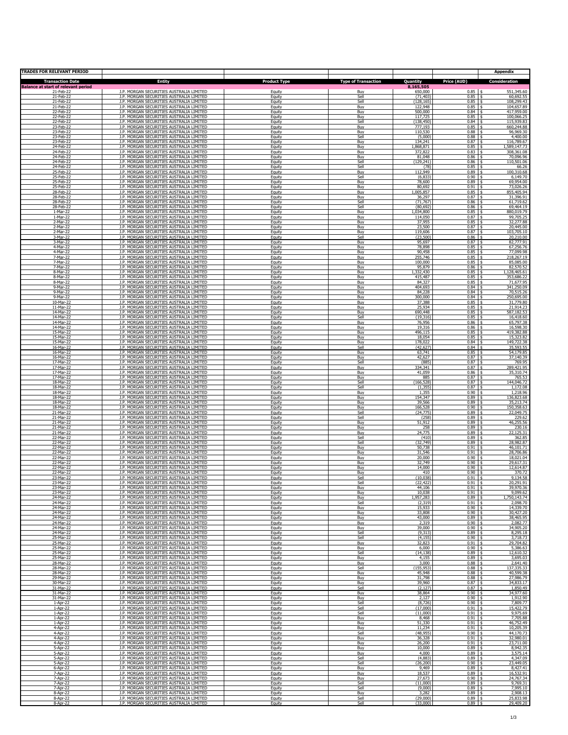| <b>TRADES FOR RELEVANT PERIOD</b>                       |                                                                                      |                     |                            |                      |                     | <b>Appendix</b>               |
|---------------------------------------------------------|--------------------------------------------------------------------------------------|---------------------|----------------------------|----------------------|---------------------|-------------------------------|
| <b>Transaction Date</b>                                 | <b>Entity</b>                                                                        | <b>Product Type</b> | <b>Type of Transaction</b> | Quantity             | Price (AUD)         | <b>Consideration</b>          |
| <b>Balance at start of relevant period</b><br>21-Feb-22 | J.P. MORGAN SECURITIES AUSTRALIA LIMITED                                             | Eauity              | Buv                        | 8,165,505<br>650,000 | 0.85                | 551,345.60                    |
| 21-Feb-22                                               | J.P. MORGAN SECURITIES AUSTRALIA LIMITED                                             | Equity              | Sell                       | (71, 403)            | 0.85                | 60,692.55                     |
| 21-Feb-22                                               | J.P. MORGAN SECURITIES AUSTRALIA LIMITED                                             | Equity              | Sell                       | (128, 165)           | 0.85                | 108,299.43                    |
| 21-Feb-22                                               | J.P. MORGAN SECURITIES AUSTRALIA LIMITED                                             | Equity              | Buy                        | 122,948              | 0.85                | 104,657.89                    |
| 22-Feb-22                                               | J.P. MORGAN SECURITIES AUSTRALIA LIMITED                                             | Equity              | Buy                        | 500,000              | 0.84                | 417,959.00                    |
| 22-Feb-22                                               | J.P. MORGAN SECURITIES AUSTRALIA LIMITED<br>J.P. MORGAN SECURITIES AUSTRALIA LIMITED | Equity              | Buv                        | 117,725              | 0.85                | 100,066.25<br>Ŝ.              |
| 22-Feb-22                                               | J.P. MORGAN SECURITIES AUSTRALIA LIMITED                                             | Equity              | Sell                       | (138.450             | 0.84                | 115,939.83                    |
| 23-Feb-22                                               |                                                                                      | Equity              | Buy                        | 777.193              | 0.85                | 660,244.88                    |
| 23-Feb-22                                               | J.P. MORGAN SECURITIES AUSTRALIA LIMITED                                             | Equity              | Buy                        | 110,530              | 0.88                | 96,969.30                     |
| 23-Feb-22                                               | J.P. MORGAN SECURITIES AUSTRALIA LIMITED                                             | Equity              | Sell                       | (5,000)              | 0.88                | 4,400.00                      |
| 23-Feb-22                                               | J.P. MORGAN SECURITIES AUSTRALIA LIMITED                                             | Eauitv              | Buv                        | 134,241              | 0.87                | 116,789.67                    |
| 24-Feb-22                                               | J.P. MORGAN SECURITIES AUSTRALIA LIMITED                                             | Equity              | Buy                        | 1,868,871            | 0.85                | 1,589,147.73                  |
| 24-Feb-22                                               | J.P. MORGAN SECURITIES AUSTRALIA LIMITED                                             | Equity              | Buy                        | 372,822              | 0.83                | 308,361.08                    |
| 24-Feb-22                                               | J.P. MORGAN SECURITIES AUSTRALIA LIMITED                                             | Equity              | Buy                        | 81,048               | 0.86                | 70,096.96                     |
| 24-Feb-22<br>24-Feb-22                                  | J.P. MORGAN SECURITIES AUSTRALIA LIMITED<br>J.P. MORGAN SECURITIES AUSTRALIA LIMITED | Equity<br>Equity    | Sell<br>Sell               | (129, 241)<br>(78)   | 0.86<br>0.85        | 110,501.06<br>66.26<br>-\$    |
| 25-Feb-22                                               | J.P. MORGAN SECURITIES AUSTRALIA LIMITED<br>J.P. MORGAN SECURITIES AUSTRALIA LIMITED | Equity              | Buy                        | 112,949<br>(6, 833)  | 0.89<br>0.90        | 100,310.68                    |
| 25-Feb-22<br>25-Feb-22                                  | J.P. MORGAN SECURITIES AUSTRALIA LIMITED                                             | Equity<br>Equity    | Sell<br>Buy                | 78,600               | 0.89                | 6,149.70<br>69,954.00         |
| 25-Feb-22                                               | J.P. MORGAN SECURITIES AUSTRALIA LIMITED                                             | Equity              | Buy                        | 80,692               | 0.91                | 73,026.26                     |
| 28-Feb-22                                               | J.P. MORGAN SECURITIES AUSTRALIA LIMITED                                             | Eauitv              | Buv                        | 1,005,857            | 0.85                | 855,405.94                    |
| 28-Feb-22                                               | J.P. MORGAN SECURITIES AUSTRALIA LIMITED                                             | Equity              | Buy                        | 36,297               | 0.87                | 31,396.91                     |
| 28-Feb-22                                               | J.P. MORGAN SECURITIES AUSTRALIA LIMITED                                             | Equity              | Sell                       | (71, 767)            | 0.86                | 61,719.62                     |
| 28-Feb-22                                               | J.P. MORGAN SECURITIES AUSTRALIA LIMITED                                             | Equity              | Sell                       | (80, 692)            | 0.86                | 69,464.19                     |
| 1-Mar-22                                                | J.P. MORGAN SECURITIES AUSTRALIA LIMITED                                             | Equity              | Buy                        | 1,034,800            | 0.85                | 880,019.79                    |
| 1-Mar-22<br>2-Mar-22                                    | J.P. MORGAN SECURITIES AUSTRALIA LIMITED                                             | Equity              | Buv                        | 114,050<br>37,955    | 0.87<br>0.85        | 99,705.25<br>Ŝ.               |
| 2-Mar-22                                                | J.P. MORGAN SECURITIES AUSTRALIA LIMITED<br>J.P. MORGAN SECURITIES AUSTRALIA LIMITED | Equity<br>Equity    | Buy<br>Buy                 | 23,500               | 0.87                | 32,277.88<br>20,445.00        |
| 2-Mar-22                                                | J.P. MORGAN SECURITIES AUSTRALIA LIMITED                                             | Equity              | Buy                        | 119,606              | 0.87                | 103,705.10                    |
| 3-Mar-22                                                | J.P. MORGAN SECURITIES AUSTRALIA LIMITED                                             | Equity              | Sell                       | (23,500)             | 0.86                | 20,210.00                     |
| 3-Mar-22                                                | J.P. MORGAN SECURITIES AUSTRALIA LIMITED                                             | Eauitv              | Buv                        | 95.697               | 0.87                | 82,777.91                     |
| 4-Mar-22                                                | J.P. MORGAN SECURITIES AUSTRALIA LIMITED                                             | Equity              | Buy                        | 78,898               | 0.85                | 67,256.76                     |
| 4-Mar-22                                                | J.P. MORGAN SECURITIES AUSTRALIA LIMITED                                             | Equity              | Buy                        | 90,458               | 0.85                | 77,099.98                     |
| 7-Mar-22                                                | J.P. MORGAN SECURITIES AUSTRALIA LIMITED                                             | Equity              | Buy                        | 255,746              | 0.85                | 218,267.19                    |
| 7-Mar-22                                                | J.P. MORGAN SECURITIES AUSTRALIA LIMITED                                             | Equity              | Buy                        | 100,000              | 0.85                | 85,085.00                     |
| 7-Mar-22                                                | J.P. MORGAN SECURITIES AUSTRALIA LIMITED                                             | Equity              | Buv                        | 95,879               | 0.86                | Ŝ.                            |
| 8-Mar-22                                                | J.P. MORGAN SECURITIES AUSTRALIA LIMITED                                             | Equity              | Buy                        | ,332,430             | 0.85                | 82,570.52<br>1,128,465.61     |
| 8-Mar-22                                                | J.P. MORGAN SECURITIES AUSTRALIA LIMITED                                             | Equity              | Buy                        | 415,487              | 0.85                | 353,686.22                    |
| 8-Mar-22                                                | J.P. MORGAN SECURITIES AUSTRALIA LIMITED                                             | Equity              | Buy                        | 84,327               | 0.85                | 71,677.95                     |
| 9-Mar-22                                                | J.P. MORGAN SECURITIES AUSTRALIA LIMITED                                             | Equity              | Buy                        | 404,693              | 0.84                | 341,250.09                    |
| 9-Mar-22                                                | J.P. MORGAN SECURITIES AUSTRALIA LIMITED                                             | Eauitv              | Buv                        | 84,228               | 0.84                | 70,515,26                     |
| 9-Mar-22                                                | J.P. MORGAN SECURITIES AUSTRALIA LIMITED                                             | Equity              | Buy                        | 300,000              | 0.84                | 250,695.00                    |
| $10-Mar-22$                                             | J.P. MORGAN SECURITIES AUSTRALIA LIMITED                                             | Equity              | Buy                        | 37,388               | 0.85                | 31,779.80                     |
| 11-Mar-22                                               | J.P. MORGAN SECURITIES AUSTRALIA LIMITED                                             | Equity              | Buy                        | 25,934               | 0.85                | 21,914.23                     |
| 14-Mar-22<br>14-Mar-22                                  | J.P. MORGAN SECURITIES AUSTRALIA LIMITED<br>J.P. MORGAN SECURITIES AUSTRALIA LIMITED | Equity<br>Equity    | Buy<br>Sell                | 690,448<br>(19, 316) | 0.85<br>0.85        | 587,182.53<br>16,418.60<br>Ŝ. |
| 14-Mar-22                                               | J.P. MORGAN SECURITIES AUSTRALIA LIMITED                                             | Equity              | Buy                        | 76.956               | 0.86                | 65,797.38                     |
| 14-Mar-22                                               | J.P. MORGAN SECURITIES AUSTRALIA LIMITED                                             | Equity              | Buy                        | 19,316               | 0.86                | 16,598.30                     |
| 15-Mar-22                                               | J.P. MORGAN SECURITIES AUSTRALIA LIMITED                                             | Equity              | Buy                        | 496,115              | 0.85                | 419,382.88                    |
| 15-Mar-22                                               | J.P. MORGAN SECURITIES AUSTRALIA LIMITED                                             | Equity              | Buy                        | 18,054               | 0.85                | 15,323.82                     |
| 15-Mar-22                                               | J.P. MORGAN SECURITIES AUSTRALIA LIMITED                                             | Eauitv              | Buv                        | 178,022              | 0.84                | 149,722.38                    |
| 16-Mar-22                                               | J.P. MORGAN SECURITIES AUSTRALIA LIMITED                                             | Equity              | Sell                       | (42.62)              | 0.84                | 35,593.55                     |
| 16-Mar-22                                               | J.P. MORGAN SECURITIES AUSTRALIA LIMITED                                             | Equity              | Buy                        | 63,741               | 0.85                | 54,179.85                     |
| 16-Mar-22                                               | J.P. MORGAN SECURITIES AUSTRALIA LIMITED                                             | Equity              | Buy                        | 42,627               | 0.87                | 37,140.39                     |
| 17-Mar-22                                               | J.P. MORGAN SECURITIES AUSTRALIA LIMITED                                             | Equity              | Sell                       | (885                 | 0.87                | 769.95                        |
| 17-Mar-22<br>17-Mar-22                                  | J.P. MORGAN SECURITIES AUSTRALIA LIMITED<br>J.P. MORGAN SECURITIES AUSTRALIA LIMITED | Equity<br>Equity    | Buv<br>Buy                 | 334,341<br>41,059    | 0.87<br>0.86        | 289,421.95<br>Ŝ.<br>35,310.74 |
| 17-Mar-22                                               | J.P. MORGAN SECURITIES AUSTRALIA LIMITED                                             | Equity              | Buy                        | 885                  | 0.87                | 765.53                        |
| 18-Mar-22                                               | J.P. MORGAN SECURITIES AUSTRALIA LIMITED                                             | Equity              | Sell                       | (166, 528)           | 0.87                | 144,046.72                    |
| 18-Mar-22<br>18-Mar-22                                  | J.P. MORGAN SECURITIES AUSTRALIA LIMITED<br>J.P. MORGAN SECURITIES AUSTRALIA LIMITED | Equity<br>Eauitv    | Sell<br>Buv                | (1, 355)<br>1,355    | 0.87<br>0.90        | 1,172.08<br>1,218.96<br>-8    |
| 18-Mar-22                                               | J.P. MORGAN SECURITIES AUSTRALIA LIMITED                                             | Equity              | Buy                        | 154,347              | 0.89                | 136,823.68                    |
| 18-Mar-22                                               | J.P. MORGAN SECURITIES AUSTRALIA LIMITED                                             | Equity              | Buy                        | 39,566               | 0.89                | 35,213.74                     |
| 18-Mar-22                                               | J.P. MORGAN SECURITIES AUSTRALIA LIMITED                                             | Equity              | Buv                        | 166,528              | 0.90                | 150,358.63                    |
| 21-Mar-22<br>21-Mar-22                                  | J.P. MORGAN SECURITIES AUSTRALIA LIMITED<br>J.P. MORGAN SECURITIES AUSTRALIA LIMITED | Equity<br>Eauity    | Sell<br>Sell               | (24, 775)<br>(258)   | $0.89$ \$<br>0.89   | 22,049.75<br>229.62<br>Ŝ.     |
| 21-Mar-22                                               | J.P. MORGAN SECURITIES AUSTRALIA LIMITED                                             | Equity              | Buy                        | 51,912               | 0.89                | 46,255.56                     |
| 21-Mar-22                                               | J.P. MORGAN SECURITIES AUSTRALIA LIMITED                                             | Equity              | Buy                        | 258                  | 0.89                | 230.16                        |
| 21-Mar-22                                               | J.P. MORGAN SECURITIES AUSTRALIA LIMITED                                             | Equity              | Buv                        | 24,775               | 0.89                | 22,125.31                     |
| 22-Mar-22                                               | J.P. MORGAN SECURITIES AUSTRALIA LIMITED                                             | Equity              | Sell                       | (410)                | $0.89$   \$         | 362.85                        |
| 22-Mar-22<br>22-Mar-22                                  | J.P. MORGAN SECURITIES AUSTRALIA LIMITED<br>J.P. MORGAN SECURITIES AUSTRALIA LIMITED | Eauity<br>Equity    | Sell<br>Buy                | (32, 749)<br>50,738  | 0.89<br>0.91        | 28,982.87<br>-\$<br>46,101.71 |
| 22-Mar-22                                               | J.P. MORGAN SECURITIES AUSTRALIA LIMITED                                             | Equity              | Buy                        | 31,546               | 0.91                | 28,706.86                     |
| 22-Mar-22                                               | J.P. MORGAN SECURITIES AUSTRALIA LIMITED                                             | Equity              |                            | 20,000               | 0.90                | 18,021.04                     |
| 22-Mar-22                                               | J.P. MORGAN SECURITIES AUSTRALIA LIMITED                                             | Equity              | Buy<br>Buy                 | 32,749               | 0.90                | 29,617.31<br>١s               |
| 22-Mar-22<br>22-Mar-22                                  | J.P. MORGAN SECURITIES AUSTRALIA LIMITED<br>J.P. MORGAN SECURITIES AUSTRALIA LIMITED | Eauity<br>Equity    | Buv<br>Buy                 | 14,000<br>410        | 0.90<br>0.90        | 12,614.87<br>-8<br>370.72     |
| 23-Mar-22                                               | J.P. MORGAN SECURITIES AUSTRALIA LIMITED                                             | Equity              | Sell                       | (10,038)             | 0.91                | 9,134.58                      |
| 23-Mar-22                                               | <b>1P MORGAN SECURITIES AUSTRALIA LIMITED</b>                                        | Fauity              | Sell                       | (22.422)             | 0.91                | 20 291 91                     |
| 23-Mar-22<br>23-Mar-22                                  | J.P. MORGAN SECURITIES AUSTRALIA LIMITED<br>J.P. MORGAN SECURITIES AUSTRALIA LIMITED | Equity<br>Equity    | Buy<br>Buv                 | 44,106<br>10,038     | $0.91$ \$<br>0.91   | 39,970.36<br>9,099.62<br>- \$ |
| 24-Mar-22                                               | J.P. MORGAN SECURITIES AUSTRALIA LIMITED                                             | Equity              | Buy                        | ,957,283             | 0.89                | 1,750,143.74                  |
| 24-Mar-22                                               | J.P. MORGAN SECURITIES AUSTRALIA LIMITED                                             |                     | Sell                       | (2,319)              | 0.91                | 2,098.70                      |
| 24-Mar-22                                               | J.P. MORGAN SECURITIES AUSTRALIA LIMITED                                             | Equity<br>Equity    | Buy                        | 15,933               | 0.90                | 14,339.70                     |
| 24-Mar-22<br>24-Mar-22                                  | J.P. MORGAN SECURITIES AUSTRALIA LIMITED<br>J.P. MORGAN SECURITIES AUSTRALIA LIMITED | Equity<br>Eauity    | Buy<br>Buv                 | 33,808<br>43,000     | $0.90$ \$<br>0.89   | 30,427.20<br>38,465.95<br>Ŝ.  |
| 24-Mar-22                                               | J.P. MORGAN SECURITIES AUSTRALIA LIMITED                                             | Equity              | Buy                        | 2,319                | 0.90                | 2,082.77                      |
| 24-Mar-22                                               | J.P. MORGAN SECURITIES AUSTRALIA LIMITED                                             | Equity              | Buy                        | 39,000               | 0.90                | 34,905.20                     |
| 24-Mar-22                                               | J.P. MORGAN SECURITIES AUSTRALIA LIMITED                                             | Equity              | Sell                       | (9, 313)             | $0.89$ \$           | 8,295.18                      |
| 25-Mar-22                                               | J.P. MORGAN SECURITIES AUSTRALIA LIMITED                                             | Equity              | Sell                       | (4, 155)             | $0.90$   \$         | 3,718.73                      |
| 25-Mar-22<br>25-Mar-22                                  | J.P. MORGAN SECURITIES AUSTRALIA LIMITED<br>J.P. MORGAN SECURITIES AUSTRALIA LIMITED | Equity<br>Equity    | Buy<br>Buy                 | 32,823<br>6,000      | 0.91<br>0.90        | 29,704.82<br>- \$<br>5,386.63 |
| 25-Mar-22                                               | J.P. MORGAN SECURITIES AUSTRALIA LIMITED                                             | Equity              | Sell                       | (14, 138)            | 0.89                | 12,610.32                     |
| 25-Mar-22                                               | J.P. MORGAN SECURITIES AUSTRALIA LIMITED                                             | Equity              | Buy                        | 4,155                | 0.89                | 3,695.03                      |
| 28-Mar-22                                               | J.P. MORGAN SECURITIES AUSTRALIA LIMITED                                             | Equity              | Buy                        | 3,000                | $0.88$ \$           | 2,641.40                      |
| 28-Mar-22<br>28-Mar-22                                  | J.P. MORGAN SECURITIES AUSTRALIA LIMITED<br>J.P. MORGAN SECURITIES AUSTRALIA LIMITED | Equity<br>Equity    | Sell<br>Buy                | (155, 953)<br>45,948 | 0.88<br>0.88        | 137,335.33<br>Ŝ.<br>40,599.38 |
| 29-Mar-22                                               | J.P. MORGAN SECURITIES AUSTRALIA LIMITED                                             | Equity              | Buy                        | 31,798               | 0.88                | 27,986.79                     |
| 30-Mar-22                                               | J.P. MORGAN SECURITIES AUSTRALIA LIMITED                                             | Equity              | Buv                        | 39,960               | 0.87                | 34,833.17                     |
| 31-Mar-22<br>31-Mar-22                                  | J.P. MORGAN SECURITIES AUSTRALIA LIMITED<br>J.P. MORGAN SECURITIES AUSTRALIA LIMITED | Equity<br>Equity    | Sell<br>Buy                | (2, 127)<br>38,864   | $0.87$   \$<br>0.90 | 1,850.49<br>34,977.60<br>- \$ |
| 31-Mar-22                                               | J.P. MORGAN SECURITIES AUSTRALIA LIMITED                                             | Equity              | Buy                        | 2,127                | 0.90                | 1,912.90                      |
| 1-Apr-22                                                | J.P. MORGAN SECURITIES AUSTRALIA LIMITED                                             | Equity              | Sell                       | (8,726)              | 0.90                | 7,809.77                      |
| 1-Apr-22                                                | J.P. MORGAN SECURITIES AUSTRALIA LIMITED                                             | Equity              | Sell                       | (17,000)             | 0.91                | 15,422.79                     |
| 1-Apr-22<br>1-Apr-22                                    | J.P. MORGAN SECURITIES AUSTRALIA LIMITED<br>J.P. MORGAN SECURITIES AUSTRALIA LIMITED | Equity<br>Equity    | Sell<br>Buy                | (11,000)<br>8,468    | $0.91$ \$<br>0.91   | 9,975.69<br>7,705.88<br>-S    |
| $1-Apr-22$                                              | J.P. MORGAN SECURITIES AUSTRALIA LIMITED                                             | Equity              | Buy                        | 51,330               | 0.91                | 46,752.49                     |
| 4-Apr-22                                                | J.P. MORGAN SECURITIES AUSTRALIA LIMITED                                             | Equity              | Buy                        | 11,234               | 0.91                | 10,205.39                     |
| 4-Apr-22                                                | J.P. MORGAN SECURITIES AUSTRALIA LIMITED                                             | Equity              | Sell                       | (48, 955)            | 0.90                | 44,170.73                     |
| 4-Apr-22                                                | J.P. MORGAN SECURITIES AUSTRALIA LIMITED                                             | Equity              | Buy                        | 36,328               | $0.91$   \$         | 32,980.01                     |
| 4-Apr-22<br>5-Apr-22                                    | J.P. MORGAN SECURITIES AUSTRALIA LIMITED<br>J.P. MORGAN SECURITIES AUSTRALIA LIMITED | Equity<br>Equity    | Buy<br>Buy                 | 26,200<br>10,000     | 0.91<br>0.89        | 23,711.00<br>- \$<br>8,942.35 |
| 5-Apr-22                                                | J.P. MORGAN SECURITIES AUSTRALIA LIMITED                                             | Equity              | Buy                        | 4,000                | 0.89                | 3,575.14                      |
| 5-Apr-22                                                | J.P. MORGAN SECURITIES AUSTRALIA LIMITED                                             | Equity              | Sell                       | (4,883)              | 0.89                | 4,347.09                      |
| 5-Apr-22                                                | J.P. MORGAN SECURITIES AUSTRALIA LIMITED                                             | Equity              | Sell                       | (26, 200)            | $0.90$ \$           | 23,449.05                     |
| 6-Apr-22<br>7-Apr-22                                    | J.P. MORGAN SECURITIES AUSTRALIA LIMITED<br>J.P. MORGAN SECURITIES AUSTRALIA LIMITED | Equity<br>Equity    | Buy<br>Buy                 | 9,469<br>18,537      | 0.89<br>0.89        | 8,427.41<br>Ŝ.<br>16,532.91   |
| 7-Apr-22                                                | J.P. MORGAN SECURITIES AUSTRALIA LIMITED                                             | Equity              | Buy                        | 27,673               | 0.90                | 24,767.34                     |
| 7-Apr-22                                                | J.P. MORGAN SECURITIES AUSTRALIA LIMITED                                             | Equity              | Sell                       | (11,000)             | $0.89$ \$           | 9,769.31                      |
| 7-Apr-22<br>8-Apr-22                                    | J.P. MORGAN SECURITIES AUSTRALIA LIMITED<br>J.P. MORGAN SECURITIES AUSTRALIA LIMITED | Equity<br>Equity    | Sell<br>Buy                | (9,000)<br>3,282     | $0.89$   \$<br>0.89 | 7,995.10<br>2.908.13<br>l \$  |
| 8-Apr-22                                                | J.P. MORGAN SECURITIES AUSTRALIA LIMITED                                             | Equity              | Sell                       | (29,000)             | 0.89                | 25,833.98                     |
| 8-Apr-22                                                | J.P. MORGAN SECURITIES AUSTRALIA LIMITED                                             | Equity              | Sell                       | (33,000)             | 0.89                | 29,409.20                     |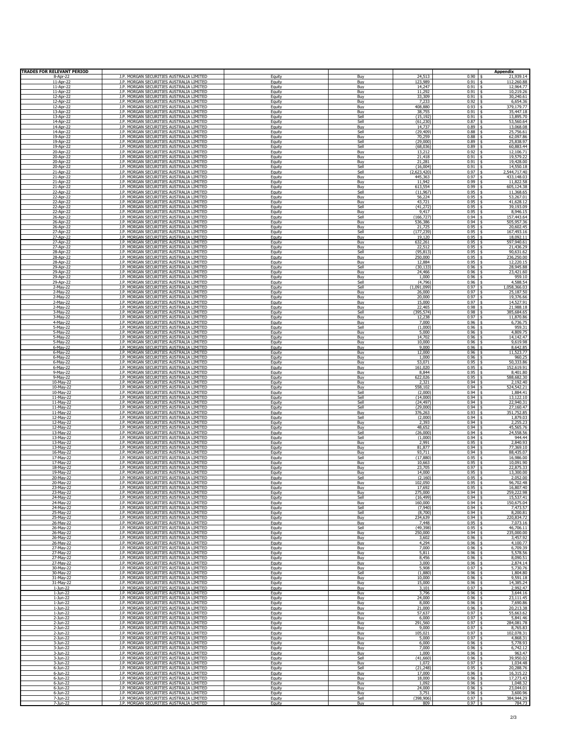| <b>TRADES FOR RELEVANT PERIOD</b> |                                                                                      |                  |             |                    |              | <b>Appendix</b>                     |
|-----------------------------------|--------------------------------------------------------------------------------------|------------------|-------------|--------------------|--------------|-------------------------------------|
| 8-Apr-22                          | J.P. MORGAN SECURITIES AUSTRALIA LIMITED                                             | Equity           | Buy         | 24,513             | 0.90         | 21,939.14                           |
| 11-Apr-22                         | J.P. MORGAN SECURITIES AUSTRALIA LIMITED                                             | Equity           | Buy         | 123,989            | 0.91         | 112,260.88                          |
| 11-Apr-22                         | J.P. MORGAN SECURITIES AUSTRALIA LIMITED                                             | Equity           | Buy         | 14,247             | 0.91         | 12,964.77                           |
| 11-Apr-22                         | J.P. MORGAN SECURITIES AUSTRALIA LIMITED                                             | Equity           | Buy         | 11,292             | 0.91         | 10,219,26                           |
| 12-Apr-22                         | J.P. MORGAN SECURITIES AUSTRALIA LIMITED                                             | Equity           | Buy         | 33,309             | 0.91         | 30,240.61                           |
| 12-Apr-22                         | J.P. MORGAN SECURITIES AUSTRALIA LIMITED                                             | Equity           |             | 7,233              | 0.92         | 6,654.36                            |
| 12-Apr-22                         | J.P. MORGAN SECURITIES AUSTRALIA LIMITED                                             | Equity           | Buy<br>Buy  | 408,880            | 0.93         | 379,179.77                          |
| 13-Apr-22                         | J.P. MORGAN SECURITIES AUSTRALIA LIMITED                                             | Equity           | Buy         | 38,755             | 0.91         | 35,447.18                           |
| 13-Apr-22                         | J.P. MORGAN SECURITIES AUSTRALIA LIMITED                                             | Equity           | Sell        | (15, 192)          | 0.91         | 13,895.70                           |
| 14-Apr-22                         | J.P. MORGAN SECURITIES AUSTRALIA LIMITED                                             | Equity           | Sell        | (61, 230)          | 0.87         | 53,560.64                           |
| 14-Apr-22                         | J.P. MORGAN SECURITIES AUSTRALIA LIMITED                                             | Equity           | Buy         | 14,737             | 0.89         | 13,068.08                           |
| 14-Apr-22                         | J.P. MORGAN SECURITIES AUSTRALIA LIMITED                                             | Equity           | Sell        | (29, 409)          | 0.88         | 25,756.61                           |
| 19-Apr-22                         | J.P. MORGAN SECURITIES AUSTRALIA LIMITED                                             | Equity           | Buy         | 70,259             | 0.88         | 62,097.86                           |
| 19-Apr-22                         | J.P. MORGAN SECURITIES AUSTRALIA LIMITED                                             | Equity           | Sell        | (29,000)           | 0.89         | 25.838.97                           |
| 19-Apr-22                         | J.P. MORGAN SECURITIES AUSTRALIA LIMITED                                             | Equity           | Sell        | (68, 036)          | 0.89         | 60,883.44                           |
| 20-Apr-22                         | J.P. MORGAN SECURITIES AUSTRALIA LIMITED                                             | Equity           | Buy         | 13,212             | 0.92         | 12,106.71                           |
| 20-Apr-22                         | J.P. MORGAN SECURITIES AUSTRALIA LIMITED                                             | Equity           | Buy         | 21,418             | 0.91         | 19,579.22                           |
| 20-Apr-22                         |                                                                                      | Equity           | Buy         | 21,281             | 0.91         | 19,428.00                           |
| 20-Apr-22                         | J.P. MORGAN SECURITIES AUSTRALIA LIMITED<br>J.P. MORGAN SECURITIES AUSTRALIA LIMITED | Equity           | Sell        | (16,004)           | 0.91         | 14,550.18                           |
| 21-Apr-22                         | J.P. MORGAN SECURITIES AUSTRALIA LIMITED                                             | Equity           | Sell        | (2,623,420)        | 0.97         | 544,717.40                          |
| 21-Apr-22                         | J.P. MORGAN SECURITIES AUSTRALIA LIMITED                                             | Equity           | Buy         | 445,363            | 0.97         | 433,148.03                          |
| 21-Apr-22                         | J.P. MORGAN SECURITIES AUSTRALIA LIMITED                                             | Equity           | Buy         | 11,942             | 0.99         | 11,822.58                           |
| 21-Apr-22                         | J.P. MORGAN SECURITIES AUSTRALIA LIMITED                                             | Equity           | Buy         | 613,554            | 0.99         | 605,124.38                          |
| 22-Apr-22                         | J.P. MORGAN SECURITIES AUSTRALIA LIMITED                                             | Equity           | Sell        | (11, 967)          | 0.95         | 11,368.65                           |
| 22-Apr-22                         | J.P. MORGAN SECURITIES AUSTRALIA LIMITED                                             | Equity           | Buy         | 56,224             | 0.95         | 53,267.01                           |
| 22-Apr-22                         | J.P. MORGAN SECURITIES AUSTRALIA LIMITED                                             | Equity           | Buy         | 43,721             | 0.95         | 41,628.12                           |
| 22-Apr-22                         | J.P. MORGAN SECURITIES AUSTRALIA LIMITED                                             | Equity           | Sell        | (41, 272)          | 0.95         | 39,193.09                           |
| 22-Apr-22                         | J.P. MORGAN SECURITIES AUSTRALIA LIMITED                                             | Equity           | Buy         | 9,417              | 0.95         | 8,946.15                            |
| 26-Apr-22                         | J.P. MORGAN SECURITIES AUSTRALIA LIMITED<br>J.P. MORGAN SECURITIES AUSTRALIA LIMITED | Equity           | Sell        | (166, 727)         | 0.94<br>0.94 | 157,443.64                          |
| 26-Apr-22<br>26-Apr-22            | J.P. MORGAN SECURITIES AUSTRALIA LIMITED                                             | Equity<br>Equity | Buy<br>Buy  | 536,386<br>21,725  | 0.95         | 505,957.36<br>20,602.45             |
| 27-Apr-22                         | J.P. MORGAN SECURITIES AUSTRALIA LIMITED                                             | Equity           | Sell        | (177, 239)         | 0.95         | 167,493.16                          |
| 27-Apr-22                         | J.P. MORGAN SECURITIES AUSTRALIA LIMITED                                             | Equity           | Buy         | 19,120             | 0.95         | 18,092.11                           |
| 27-Apr-22                         | J.P. MORGAN SECURITIES AUSTRALIA LIMITED<br>J.P. MORGAN SECURITIES AUSTRALIA LIMITED | Eauity           | Buv         | 632,261<br>22,512  | 0.95<br>0.95 | 597,940.61<br>21,436.29             |
| 27-Apr-22<br>28-Apr-22            | J.P. MORGAN SECURITIES AUSTRALIA LIMITED                                             | Equity<br>Equity | Buy<br>Sell | (95, 813)          | 0.95         | 90,631.62                           |
| 28-Apr-22                         | J.P. MORGAN SECURITIES AUSTRALIA LIMITED                                             | Equity           | Buy         | 250,000            | 0.95         | 236,250.00                          |
| 28-Apr-22                         | J.P. MORGAN SECURITIES AUSTRALIA LIMITED                                             | Equity           | Buy         | 12,884             | 0.95         | 12,220.15                           |
| 29-Apr-22                         | J.P. MORGAN SECURITIES AUSTRALIA LIMITED                                             | Equity           | Sell        | (30, 133)          | 0.96         | 28,945.88                           |
| 29-Apr-22                         | J.P. MORGAN SECURITIES AUSTRALIA LIMITED                                             | Equity           | Buy         | 24,466             | 0.96         | 23,421.60                           |
| 29-Apr-22                         | J.P. MORGAN SECURITIES AUSTRALIA LIMITED                                             | Equity           | Buy         | 1,000              | 0.96         | 959.10                              |
| 29-Apr-22                         | J.P. MORGAN SECURITIES AUSTRALIA LIMITED                                             | Equity           | Sell        | (4,796)            | 0.96         | 4,588.54                            |
| 2-May-22                          | J.P. MORGAN SECURITIES AUSTRALIA LIMITED                                             | Equity           | Sell        | (1,091,099)        | 0.97         | 1,058,366.03                        |
| 2-May-22                          | J.P. MORGAN SECURITIES AUSTRALIA LIMITED                                             | Eauity           | Buv         | 26,000             | 0.97         | 25,187.50                           |
| 2-May-22                          | J.P. MORGAN SECURITIES AUSTRALIA LIMITED                                             | Equity           | Buy         | 20,000             | 0.97         | 19,376.66                           |
| 2-May-22                          | J.P. MORGAN SECURITIES AUSTRALIA LIMITED                                             | Equity           | Buy         | 15,000             | 0.97<br>0.98 | 14,527.91                           |
| 2-May-22                          | J.P. MORGAN SECURITIES AUSTRALIA LIMITED                                             | Equity           | Buy         | 22,465             | 0.98         | 21,988.18                           |
| 3-May-22                          | J.P. MORGAN SECURITIES AUSTRALIA LIMITED                                             | Equity           | Sell        | (395, 574)         |              | 385,684.65                          |
| 3-Mav-22                          | J.P. MORGAN SECURITIES AUSTRALIA LIMITED                                             | Equity           | Buv         | 12,238             | 0.97         | 11,870.86                           |
| 4-May-22                          | J.P. MORGAN SECURITIES AUSTRALIA LIMITED                                             | Eauity           | Buy         | 7,000              | 0.96         | 6,736.75                            |
| 5-May-22                          | J.P. MORGAN SECURITIES AUSTRALIA LIMITED                                             | Equity           | Sell        | (1,000)            | 0.96         | 959.31                              |
| 5-May-22                          | J.P. MORGAN SECURITIES AUSTRALIA LIMITED                                             | Equity           | Buy         | 5,000              | 0.96         | 4,809.75                            |
| 5-May-22                          | J.P. MORGAN SECURITIES AUSTRALIA LIMITED                                             | Equity           | Buy         | 14,702             | 0.96         | 14,142.47                           |
| 5-May-22                          | J.P. MORGAN SECURITIES AUSTRALIA LIMITED                                             | Eauity           | Buy         | 10,000             | 0.96         | 9,619.98                            |
| $6$ -May-22                       | J.P. MORGAN SECURITIES AUSTRALIA LIMITED                                             | Equity           | Buy         | 9,000              | 0.96         | 8,642.85                            |
| 6-May-22                          | J.P. MORGAN SECURITIES AUSTRALIA LIMITED                                             | Equity           | Buy         | 12,000             | 0.96         | 11,523.77                           |
| 6-May-22                          | J.P. MORGAN SECURITIES AUSTRALIA LIMITED                                             | Equity           | Buy         | 1,000              | 0.96         | 960.25                              |
| $6$ -May-22                       | J.P. MORGAN SECURITIES AUSTRALIA LIMITED                                             | Equity           | Buy         | 53,071             | 0.95         | 50,333.86                           |
| 6-May-22                          | J.P. MORGAN SECURITIES AUSTRALIA LIMITED                                             | Equity           | Buv         | 161,020            | 0.95         | 152,619.91                          |
| 9-May-22                          | J.P. MORGAN SECURITIES AUSTRALIA LIMITED                                             | Eauity           | Buy         | 8,844              | 0.95         | 8,401.80                            |
| 9-May-22                          | J.P. MORGAN SECURITIES AUSTRALIA LIMITED                                             | Equity           | Buy         | 622,026            | 0.95         | 588,682.30                          |
| 10-May-22                         | J.P. MORGAN SECURITIES AUSTRALIA LIMITED                                             | Equity           | Buy         | 2,321              | 0.94         | 2,192.40                            |
| 10-May-22                         | J.P. MORGAN SECURITIES AUSTRALIA LIMITED                                             | Equity           | Buy         | 558,102            | 0.94         | 524,542.21                          |
| $10-May-22$                       | J.P. MORGAN SECURITIES AUSTRALIA LIMITED                                             | Equity           | Sell        | (2,000)            | 0.94         | 1,884.41                            |
| 11-May-22                         | J.P. MORGAN SECURITIES AUSTRALIA LIMITED                                             | Equity           | Sell        | (14,000)           | 0.94         | 13,122.10                           |
| 11-May-22                         | J.P. MORGAN SECURITIES AUSTRALIA LIMITED                                             | Equity           | Sell        | (24, 497)          | 0.94         | 22,940.31                           |
| $11-May-22$                       | J.P. MORGAN SECURITIES AUSTRALIA LIMITED                                             | Equity           | Sell        | (29,000)           | 0.94         | 27,160.47                           |
| 11-May-22                         | J.P. MORGAN SECURITIES AUSTRALIA LIMITED                                             | Equity           | Buy         | 376,263            | 0.93         | 351,752.85                          |
| 12-May-22                         | J.P. MORGAN SECURITIES AUSTRALIA LIMITED                                             | Equity           | Sell        | (2,000)            | 0.94         | 1,879.03                            |
| 12-May-22                         | J.P. MORGAN SECURITIES AUSTRALIA LIMITED<br>J.P. MORGAN SECURITIES AUSTRALIA LIMITED | Eauity           | Buy         | 2,393              | 0.94<br>0.94 | 2,255.23                            |
| 12-May-22<br>13-May-22            | J.P. MORGAN SECURITIES AUSTRALIA LIMITED                                             | Equity<br>Equity | Buy<br>Sell | 48,652<br>(26,000) | 0.94         | 45,565.76<br>24,558.56              |
| 13-May-22                         | J.P. MORGAN SECURITIES AUSTRALIA LIMITED                                             | Equity           | Sell        | (1,000)            | 0.94         | 944.44                              |
| 13-May-22                         | J.P. MORGAN SECURITIES AUSTRALIA LIMITED                                             | Equity           | Buy         | 2,991              | 0.95         | 2,840.93                            |
| 13-May-22                         | J.P. MORGAN SECURITIES AUSTRALIA LIMITED                                             | Equity           | Buy         | 81,877             | 0.94         | 77,369.10                           |
| 16-May-22                         | J.P. MORGAN SECURITIES AUSTRALIA LIMITED                                             | Equity           | Buy         | 93,711             | 0.94         | 88,435.07                           |
| 17-May-22                         | J.P. MORGAN SECURITIES AUSTRALIA LIMITED                                             | Equity           | Sell        | (17, 880)          | 0.95         | 16,986.00                           |
| 17-May-22                         | J.P. MORGAN SECURITIES AUSTRALIA LIMITED                                             | Equity           | Buy         | 10,663             | 0.95         | 10,091.90                           |
| 18-May-22                         | J.P. MORGAN SECURITIES AUSTRALIA LIMITED                                             | Equity           | Buv         | 23,705             | 0.97         | 22.875.33                           |
| 19-May-22                         | J.P. MORGAN SECURITIES AUSTRALIA LIMITED                                             | Eauity           | Buy         | 14,000             | 0.95         | 13,300.00                           |
| 20-May-22                         | J.P. MORGAN SECURITIES AUSTRALIA LIMITED                                             | Equity           | Sell        | (2,160)            | 0.95         | 2,052.00                            |
| 20-May-22                         | J.P. MORGAN SECURITIES AUSTRALIA LIMITED                                             | Fauity           | Buv         | 102.050            | 0.95         | 96.702.48                           |
| 23-May-22                         | J.P. MORGAN SECURITIES AUSTRALIA LIMITED                                             | Equity           | Buy         | 17,692             | 0.95         | 16,807.40                           |
| 23-May-22                         | J.P. MORGAN SECURITIES AUSTRALIA LIMITED                                             | Equity           | Buy         | 275,000            | 0.94         | 259,222.98                          |
| 24-May-22                         | J.P. MORGAN SECURITIES AUSTRALIA LIMITED                                             | Equity           | Sell        | (16, 499)          | 0.94         | 15,537.41                           |
| 24-May-22                         | J.P. MORGAN SECURITIES AUSTRALIA LIMITED                                             | Equity           | Buy         | 160,000            | 0.94         | 150,675.04                          |
| 24-May-22                         | J.P. MORGAN SECURITIES AUSTRALIA LIMITED                                             | Equity           | Sell        | (7,940)            | 0.94         | 7,473.57                            |
| 25-May-22                         | J.P. MORGAN SECURITIES AUSTRALIA LIMITED                                             | Equity           | Sell        | (8,700)            | 0.94         | 8,200.81                            |
| 25-May-22                         | J.P. MORGAN SECURITIES AUSTRALIA LIMITED                                             | Equity           | Buy         | 234,639            | 0.94         | 220,834.72                          |
| 26-May-22                         | J.P. MORGAN SECURITIES AUSTRALIA LIMITED                                             | Equity           | Buy         | 7,448              | 0.95         | 7,073.16                            |
| 26-May-22                         | J.P. MORGAN SECURITIES AUSTRALIA LIMITED                                             | Equity           | Sell        | (49, 398)          | 0.95         | 46,706.11                           |
| 26-May-22<br>26-May-22            | J.P. MORGAN SECURITIES AUSTRALIA LIMITED<br>J.P. MORGAN SECURITIES AUSTRALIA LIMITED | Equity<br>Equity | Buy<br>Buy  | 250,000<br>3,602   | 0.94<br>0.96 | 235,000.00<br>3,457.92<br>÷.        |
| 26-May-22                         | J.P. MORGAN SECURITIES AUSTRALIA LIMITED                                             | Equity           | Buy         | 4,294              | 0.96         | 4,100.77                            |
| 27-May-22                         | J.P. MORGAN SECURITIES AUSTRALIA LIMITED                                             | Equity           | Buy         | 7,000              | 0.96         | 6,709.39                            |
| 27-May-22                         | J.P. MORGAN SECURITIES AUSTRALIA LIMITED                                             | Equity           | Buy         | 5,811              | 0.96         | 5,578.56                            |
| 27-May-22                         | J.P. MORGAN SECURITIES AUSTRALIA LIMITED                                             | Equity           | Buy         | 8,456              | 0.96         | 8,090.51                            |
| 27-May-22                         | J.P. MORGAN SECURITIES AUSTRALIA LIMITED                                             | Equity           | Buy         | 3,000              | 0.96         | 2,874.14                            |
| 30-May-22                         | J.P. MORGAN SECURITIES AUSTRALIA LIMITED                                             | Equity           | Buv         | 5,908              | 0.97         | 5,730.76                            |
| 30-May-22                         | J.P. MORGAN SECURITIES AUSTRALIA LIMITED                                             | Equity           | Sell        | (1,880)            | 0.96         | 1,804.80                            |
| 31-May-22                         | J.P. MORGAN SECURITIES AUSTRALIA LIMITED                                             | Equity           | Buy         | 10,000             | 0.96         | 9,591.18                            |
| 31-May-22                         | J.P. MORGAN SECURITIES AUSTRALIA LIMITED                                             | Equity           | Buy         | 15,000             | 0.96         | 14,385.24                           |
| $1-Jun-22$                        | J.P. MORGAN SECURITIES AUSTRALIA LIMITED                                             | Equity           | Buy         | 3,101              | 0.97         | 2,992.47                            |
| 1-Jun-22                          | J.P. MORGAN SECURITIES AUSTRALIA LIMITED                                             | Equity           | Buy         | 3,796              | 0.96         | 3,644.16                            |
| 1-Jun-22                          | J.P. MORGAN SECURITIES AUSTRALIA LIMITED                                             | Equity           | Buy         | 24,000             | 0.96         | 23,111.45                           |
| $1 - Jun - 22$                    | J.P. MORGAN SECURITIES AUSTRALIA LIMITED                                             | Equity           | Buy         | 8,000              | 0.96         | 7,690.86                            |
| $1-Jun-22$                        | J.P. MORGAN SECURITIES AUSTRALIA LIMITED                                             |                  | Buy         | 21,000             | 0.96         | 20,213.38                           |
| $1-Jun-22$                        | J.P. MORGAN SECURITIES AUSTRALIA LIMITED                                             | Equity<br>Equity | Buy         | 57,637             | 0.97         | 55,663.62                           |
| 2-Jun-22                          | J.P. MORGAN SECURITIES AUSTRALIA LIMITED                                             | Equity           | Buy         | 6,000              | 0.97         | 5,841.46                            |
| 2-Jun-22                          | J.P. MORGAN SECURITIES AUSTRALIA LIMITED                                             | Equity           | Buy         | 291,560            | 0.97         | 284,081.78                          |
| $2$ -Jun-22                       | J.P. MORGAN SECURITIES AUSTRALIA LIMITED                                             | Equity           | Buy         | 9,000              | 0.97         | 8,765.83                            |
| $2-Jun-22$                        | J.P. MORGAN SECURITIES AUSTRALIA LIMITED                                             | Equity           | Buy         | 105,021            | 0.97         | 102,078.31                          |
| 2-Jun-22                          | J.P. MORGAN SECURITIES AUSTRALIA LIMITED                                             | Equity           | Buy         | 5,000              | 0.97         | 4,868.31                            |
| 3-Jun-22                          | J.P. MORGAN SECURITIES AUSTRALIA LIMITED                                             | Equity           | Buv         | 6,000              | 0.96         | 5,778.93                            |
| 3-Jun-22                          | J.P. MORGAN SECURITIES AUSTRALIA LIMITED                                             | Equity           | Buy         | 7,000              | 0.96         | 6,742.12                            |
| 3-Jun-22                          | J.P. MORGAN SECURITIES AUSTRALIA LIMITED                                             | Equity           | Buy         | 1,000              | 0.96         | 963.47                              |
| 3-Jun-22                          | J.P. MORGAN SECURITIES AUSTRALIA LIMITED                                             | Equity           | Sell        | (41,660)           | 0.96         | 39,950.02                           |
| 3-Jun-22                          | J.P. MORGAN SECURITIES AUSTRALIA LIMITED                                             | Equity           | Buy         | 1,072              | 0.97         | 1,034.48                            |
| 6-Jun-22                          | J.P. MORGAN SECURITIES AUSTRALIA LIMITED                                             | Eauity           | Sell        | (21, 248)          | 0.95         | 20,288.76                           |
| 6-Jun-22                          | J.P. MORGAN SECURITIES AUSTRALIA LIMITED                                             | Equity           | Buy         | 17,000             | 0.96         | 16,315.22                           |
| 6-Jun-22                          | J.P. MORGAN SECURITIES AUSTRALIA LIMITED                                             | Equity           | Buy         | 18,000             | 0.96         | 17,273.43                           |
| $6$ -Jun-22                       | J.P. MORGAN SECURITIES AUSTRALIA LIMITED                                             | Equity           | <b>Buy</b>  | 1,092              | 0.96         | 1,048.32                            |
| 6-Jun-22<br>6-Jun-22              | J.P. MORGAN SECURITIES AUSTRALIA LIMITED<br>J.P. MORGAN SECURITIES AUSTRALIA LIMITED | Equity<br>Equity | Buy<br>Buv  | 24,000<br>3,751    | 0.96<br>0.96 | 23,044.01<br>$\ddot{s}$<br>3,600.96 |
| 7-Jun-22                          | J.P. MORGAN SECURITIES AUSTRALIA LIMITED                                             | Equity           | Sell        | (398, 906)         | 0.97         | 384,944.29                          |
| 7-1un-22                          | J.P. MORGAN SECURITIES AUSTRALIA LIMITED                                             | Equity           | Buy         | 809                | 0.97         | 784.73                              |